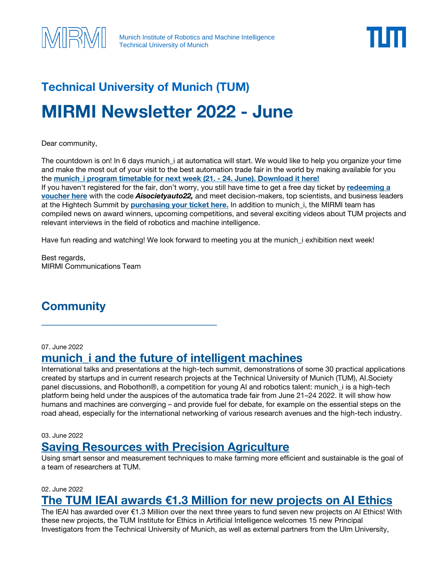



# **Technical University of Munich (TUM) MIRMI Newsletter 2022 - June**

Dear community,

The countdown is on! In 6 days munich\_i at automatica will start. We would like to help you organize your time and make the most out of your visit to the best automation trade fair in the world by making available for you the **[munich\\_i program timetable](https://www.mirmi.tum.de/fileadmin/w00byb/mirmi/Files/munich_i_Timetable_PUBLIC_USE_venue.pdf) for next week (21. - 24. June). Download it here!** If you haven't registered for the fair, don't worry, you still have time to get a free day ticket by **[redeeming a](https://automatica-munich.com/en/visitors/ticket-vouchers/)  [voucher here](https://automatica-munich.com/en/visitors/ticket-vouchers/)** with the code *Aisocietyauto22,* and meet decision-makers, top scientists, and business leaders at the Hightech Summit by **[purchasing your ticket here.](https://tickets.messe-muenchen.de/MM/AUT22/ArticleSelection/68)** In addition to munich\_i, the MIRMI team has compiled news on award winners, upcoming competitions, and several exciting videos about TUM projects and relevant interviews in the field of robotics and machine intelligence.

Have fun reading and watching! We look forward to meeting you at the munich\_i exhibition next week!

Best regards, MIRMI Communications Team

# **Community**

07. June 2022

# **[munich\\_i and the future of intelligent machines](https://www.tum.de/en/about-tum/news/press-releases/details/37456)**

\_\_\_\_\_\_\_\_\_\_\_\_\_\_\_\_\_\_\_\_\_\_\_\_\_\_\_\_\_\_

International talks and presentations at the high-tech summit, demonstrations of some 30 practical applications created by startups and in current research projects at the Technical University of Munich (TUM), AI.Society panel discussions, and Robothon®, a competition for young AI and robotics talent: munich\_i is a high-tech platform being held under the auspices of the automatica trade fair from June 21–24 2022. It will show how humans and machines are converging – and provide fuel for debate, for example on the essential steps on the road ahead, especially for the international networking of various research avenues and the high-tech industry.

03. June 2022

### **[Saving Resources with Precision Agriculture](https://www.tum.de/en/about-tum/news/press-releases/details/37417)**

Using smart sensor and measurement techniques to make farming more efficient and sustainable is the goal of a team of researchers at TUM.

02. June 2022

### **[The TUM IEAI awards €1.3 Million for new projects on AI Ethics](https://www.ieai.sot.tum.de/the-ieai-announces-seven-new-projects-on-ai-ethics/)**

The IEAI has awarded over €1.3 Million over the next three years to fund seven new projects on AI Ethics! With these new projects, the TUM Institute for Ethics in Artificial Intelligence welcomes 15 new Principal Investigators from the Technical University of Munich, as well as external partners from the Ulm University,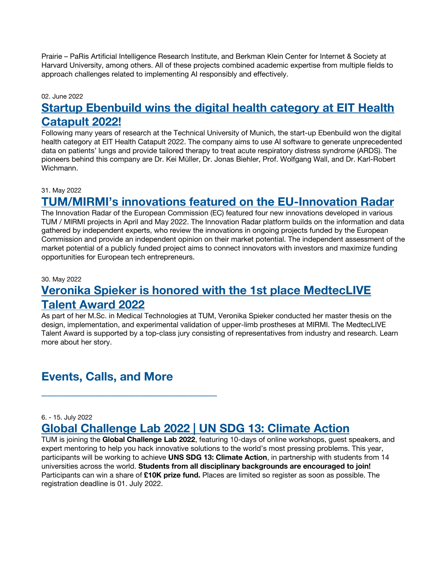Prairie – PaRis Artificial Intelligence Research Institute, and Berkman Klein Center for Internet & Society at Harvard University, among others. All of these projects combined academic expertise from multiple fields to approach challenges related to implementing AI responsibly and effectively.

#### 02. June 2022

### **[Startup Ebenbuild wins the digital health category at EIT Health](https://www.mirmi.tum.de/mirmi/news/article/startup-ebenbuild-wins-the-digital-health-category-at-eit-health-catapult-2022/)  [Catapult 2022!](https://www.mirmi.tum.de/mirmi/news/article/startup-ebenbuild-wins-the-digital-health-category-at-eit-health-catapult-2022/)**

Following many years of research at the Technical University of Munich, the start-up Ebenbuild won the digital health category at EIT Health Catapult 2022. The company aims to use AI software to generate unprecedented data on patients' lungs and provide tailored therapy to treat acute respiratory distress syndrome (ARDS). The pioneers behind this company are Dr. Kei Müller, Dr. Jonas Biehler, Prof. Wolfgang Wall, and Dr. Karl-Robert Wichmann.

#### 31. May 2022

# **[TUM/MIRMI's innovations featured on the EU](https://www.mirmi.tum.de/mirmi/news/article/tum-mirmis-innovations-featured-on-the-eu-innovation-radar/)-Innovation Radar**

The Innovation Radar of the European Commission (EC) featured four new innovations developed in various TUM / MIRMI projects in April and May 2022. The Innovation Radar platform builds on the information and data gathered by independent experts, who review the innovations in ongoing projects funded by the European Commission and provide an independent opinion on their market potential. The independent assessment of the market potential of a publicly funded project aims to connect innovators with investors and maximize funding opportunities for European tech entrepreneurs.

#### 30. May 2022

# **[Veronika Spieker is honored with the 1st place MedtecLIVE](https://www.mirmi.tum.de/mirmi/news/article/veronika-spieker-is-honored-with-the-1st-place-medteclive-talent-award-2022/)  [Talent Award 2022](https://www.mirmi.tum.de/mirmi/news/article/veronika-spieker-is-honored-with-the-1st-place-medteclive-talent-award-2022/)**

As part of her M.Sc. in Medical Technologies at TUM, Veronika Spieker conducted her master thesis on the design, implementation, and experimental validation of upper-limb prostheses at MIRMI. The MedtecLIVE Talent Award is supported by a top-class jury consisting of representatives from industry and research. Learn more about her story.

# **Events, Calls, and More**

\_\_\_\_\_\_\_\_\_\_\_\_\_\_\_\_\_\_\_\_\_\_\_\_\_\_\_\_\_\_

#### 6. - 15. July 2022

# **[Global Challenge Lab 2022 | UN SDG 13: Climate Action](https://bit.ly/3969tDo)**

TUM is joining the **Global Challenge Lab 2022**, featuring 10-days of online workshops, guest speakers, and expert mentoring to help you hack innovative solutions to the world's most pressing problems. This year, participants will be working to achieve **UNS SDG 13: Climate Action**, in partnership with students from 14 universities across the world. **Students from all disciplinary backgrounds are encouraged to join!** Participants can win a share of **£10K prize fund.** Places are limited so register as soon as possible. The registration deadline is 01. July 2022.